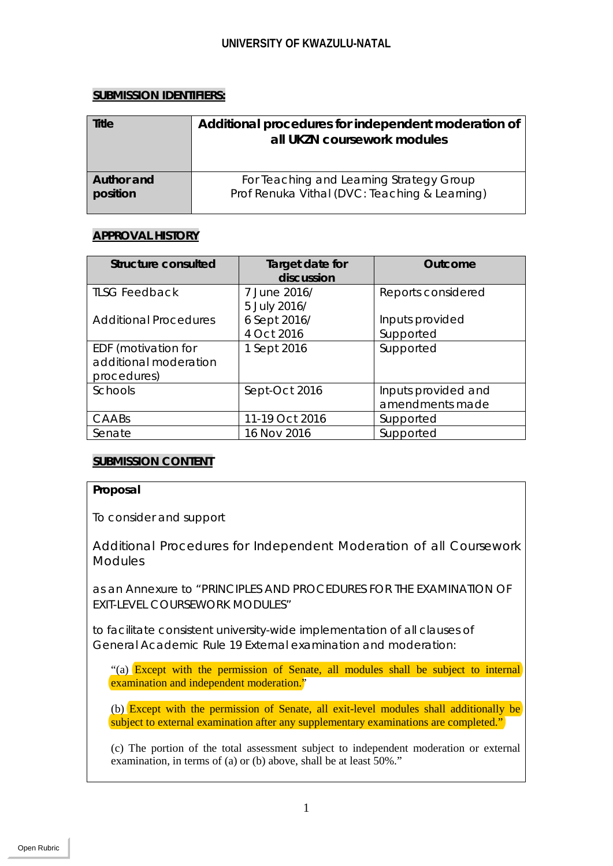# **SUBMISSION IDENTIFIERS:**

| Title      | Additional procedures for independent moderation of<br>all UKZN coursework modules |
|------------|------------------------------------------------------------------------------------|
| Author and | For Teaching and Learning Strategy Group                                           |
| position   | Prof Renuka Vithal (DVC: Teaching & Learning)                                      |

# **APPROVAL HISTORY**

| <b>Structure consulted</b>                                  | Target date for<br>discussion | <b>Outcome</b>                         |
|-------------------------------------------------------------|-------------------------------|----------------------------------------|
| <b>ILSG Feedback</b>                                        | 7 June 2016/<br>5 July 2016/  | Reports considered                     |
| <b>Additional Procedures</b>                                | 6 Sept 2016/                  | Inputs provided                        |
|                                                             | 4 Oct 2016                    | Supported                              |
| EDF (motivation for<br>additional moderation<br>procedures) | 1 Sept 2016                   | Supported                              |
| Schools                                                     | Sept-Oct 2016                 | Inputs provided and<br>amendments made |
| CAABS                                                       | 11-19 Oct 2016                | Supported                              |
| Senate                                                      | 16 Nov 2016                   | Supported                              |

# **SUBMISSION CONTENT**

# **Proposal**

To consider and support

Additional Procedures for Independent Moderation of all Coursework Modules

as an Annexure to "PRINCIPLES AND PROCEDURES FOR THE EXAMINATION OF EXIT-LEVEL COURSEWORK MODULES"

to facilitate consistent university-wide implementation of all clauses of General Academic Rule 19 External examination and moderation:

"(a) Except with the permission of Senate, all modules shall be subject to internal examination and independent moderation."

(b) Except with the permission of Senate, all exit-level modules shall additionally be subject to external examination after any supplementary examinations are completed."

(c) The portion of the total assessment subject to independent moderation or external examination, in terms of (a) or (b) above, shall be at least 50%."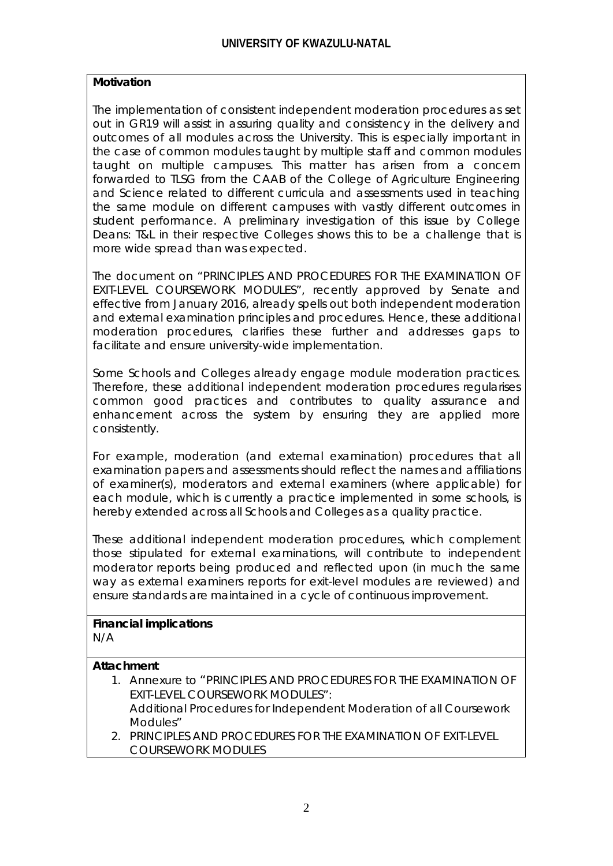# **Motivation**

The implementation of consistent independent moderation procedures as set out in GR19 will assist in assuring quality and consistency in the delivery and outcomes of all modules across the University. This is especially important in the case of common modules taught by multiple staff and common modules taught on multiple campuses. This matter has arisen from a concern forwarded to TLSG from the CAAB of the College of Agriculture Engineering and Science related to different curricula and assessments used in teaching the same module on different campuses with vastly different outcomes in student performance. A preliminary investigation of this issue by College Deans: T&L in their respective Colleges shows this to be a challenge that is more wide spread than was expected.

The document on "PRINCIPLES AND PROCEDURES FOR THE EXAMINATION OF EXIT-LEVEL COURSEWORK MODULES", recently approved by Senate and effective from January 2016, already spells out both independent moderation and external examination principles and procedures. Hence, these additional moderation procedures, clarifies these further and addresses gaps to facilitate and ensure university-wide implementation.

Some Schools and Colleges already engage module moderation practices. Therefore, these additional independent moderation procedures regularises common good practices and contributes to quality assurance and enhancement across the system by ensuring they are applied more consistently.

For example, moderation (and external examination) procedures that all examination papers and assessments should reflect the names and affiliations of examiner(s), moderators and external examiners (where applicable) for each module, which is currently a practice implemented in some schools, is hereby extended across all Schools and Colleges as a quality practice.

These additional independent moderation procedures, which complement those stipulated for external examinations, will contribute to independent moderator reports being produced and reflected upon (in much the same way as external examiners reports for exit-level modules are reviewed) and ensure standards are maintained in a cycle of continuous improvement.

#### **Financial implications** N/A

## **Attachment**

- 1. Annexure to "PRINCIPLES AND PROCEDURES FOR THE EXAMINATION OF EXIT-LEVEL COURSEWORK MODULES": Additional Procedures for Independent Moderation of all Coursework Modules"
- 2. PRINCIPLES AND PROCEDURES FOR THE EXAMINATION OF EXIT-LEVEL COURSEWORK MODULES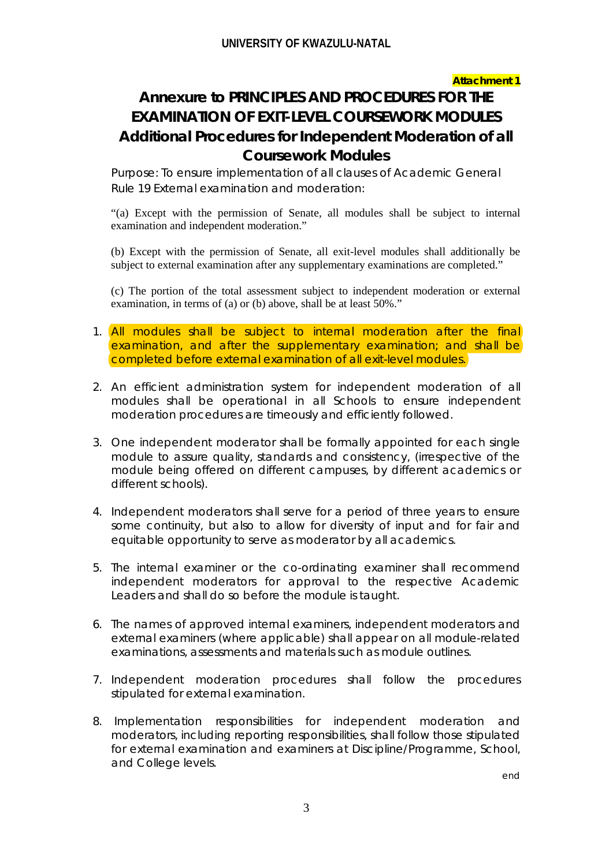### **Attachment 1**

# **Annexure to PRINCIPLES AND PROCEDURES FOR THE EXAMINATION OF EXIT-LEVEL COURSEWORK MODULES Additional Procedures for Independent Moderation of all Coursework Modules**

Purpose: To ensure implementation of all clauses of Academic General Rule 19 External examination and moderation:

"(a) Except with the permission of Senate, all modules shall be subject to internal examination and independent moderation."

(b) Except with the permission of Senate, all exit-level modules shall additionally be subject to external examination after any supplementary examinations are completed."

(c) The portion of the total assessment subject to independent moderation or external examination, in terms of (a) or (b) above, shall be at least 50%."

- 1. All modules shall be subject to internal moderation after the final examination, and after the supplementary examination; and shall be completed before external examination of all exit-level modules.
- 2. An efficient administration system for independent moderation of all modules shall be operational in all Schools to ensure independent moderation procedures are timeously and efficiently followed.
- 3. One independent moderator shall be formally appointed for each single module to assure quality, standards and consistency, (irrespective of the module being offered on different campuses, by different academics or different schools).
- 4. Independent moderators shall serve for a period of three years to ensure some continuity, but also to allow for diversity of input and for fair and equitable opportunity to serve as moderator by all academics.
- 5. The internal examiner or the co-ordinating examiner shall recommend independent moderators for approval to the respective Academic Leaders and shall do so before the module is taught.
- 6. The names of approved internal examiners, independent moderators and external examiners (where applicable) shall appear on all module-related examinations, assessments and materials such as module outlines.
- 7. Independent moderation procedures shall follow the procedures stipulated for external examination.
- 8. Implementation responsibilities for independent moderation and moderators, including reporting responsibilities, shall follow those stipulated for external examination and examiners at Discipline/Programme, School, and College levels.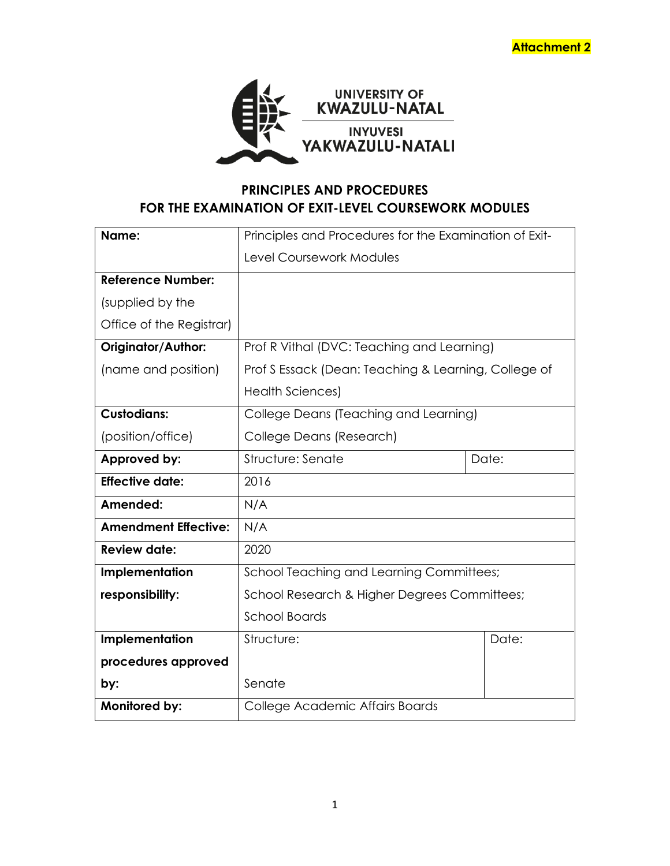

# **PRINCIPLES AND PROCEDURES FOR THE EXAMINATION OF EXIT-LEVEL COURSEWORK MODULES**

| Name:                       | Principles and Procedures for the Examination of Exit- |       |  |
|-----------------------------|--------------------------------------------------------|-------|--|
|                             | <b>Level Coursework Modules</b>                        |       |  |
| <b>Reference Number:</b>    |                                                        |       |  |
| (supplied by the            |                                                        |       |  |
| Office of the Registrar)    |                                                        |       |  |
| <b>Originator/Author:</b>   | Prof R Vithal (DVC: Teaching and Learning)             |       |  |
| (name and position)         | Prof S Essack (Dean: Teaching & Learning, College of   |       |  |
|                             | <b>Health Sciences)</b>                                |       |  |
| <b>Custodians:</b>          | College Deans (Teaching and Learning)                  |       |  |
| (position/office)           | College Deans (Research)                               |       |  |
| Approved by:                | Structure: Senate                                      | Date: |  |
| <b>Effective date:</b>      | 2016                                                   |       |  |
| Amended:                    | N/A                                                    |       |  |
| <b>Amendment Effective:</b> | N/A                                                    |       |  |
| <b>Review date:</b>         | 2020                                                   |       |  |
| Implementation              | <b>School Teaching and Learning Committees;</b>        |       |  |
| responsibility:             | School Research & Higher Degrees Committees;           |       |  |
|                             | <b>School Boards</b>                                   |       |  |
| Implementation              | Structure:                                             | Date: |  |
| procedures approved         |                                                        |       |  |
| by:                         | Senate                                                 |       |  |
| Monitored by:               | College Academic Affairs Boards                        |       |  |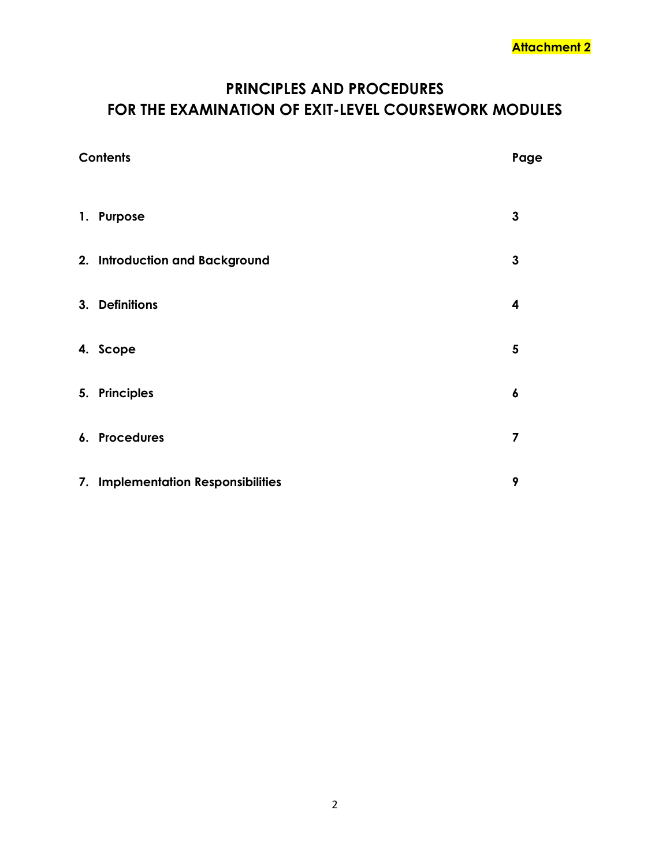# **PRINCIPLES AND PROCEDURES FOR THE EXAMINATION OF EXIT-LEVEL COURSEWORK MODULES**

| <b>Contents</b> |                                    | Page      |
|-----------------|------------------------------------|-----------|
|                 | 1. Purpose                         | 3         |
|                 | 2. Introduction and Background     | 3         |
|                 | 3. Definitions                     | 4         |
|                 | 4. Scope                           | 5         |
|                 | 5. Principles                      | $\pmb{6}$ |
|                 | 6. Procedures                      | 7         |
|                 | 7. Implementation Responsibilities | 9         |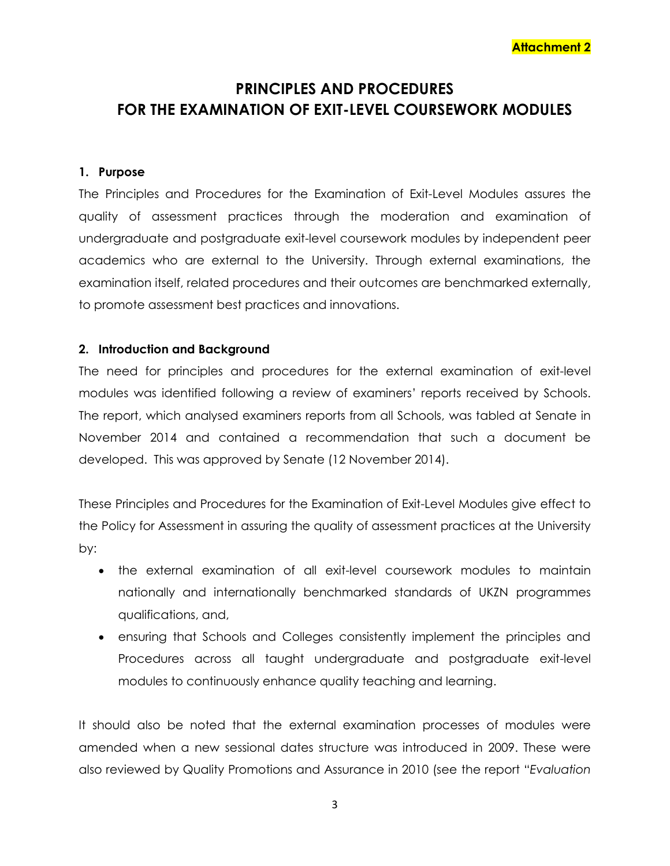# **PRINCIPLES AND PROCEDURES FOR THE EXAMINATION OF EXIT-LEVEL COURSEWORK MODULES**

## **1. Purpose**

The Principles and Procedures for the Examination of Exit-Level Modules assures the quality of assessment practices through the moderation and examination of undergraduate and postgraduate exit-level coursework modules by independent peer academics who are external to the University. Through external examinations, the examination itself, related procedures and their outcomes are benchmarked externally, to promote assessment best practices and innovations.

## **2. Introduction and Background**

The need for principles and procedures for the external examination of exit-level modules was identified following a review of examiners' reports received by Schools. The report, which analysed examiners reports from all Schools, was tabled at Senate in November 2014 and contained a recommendation that such a document be developed. This was approved by Senate (12 November 2014).

These Principles and Procedures for the Examination of Exit-Level Modules give effect to the Policy for Assessment in assuring the quality of assessment practices at the University by:

- the external examination of all exit-level coursework modules to maintain nationally and internationally benchmarked standards of UKZN programmes qualifications, and,
- ensuring that Schools and Colleges consistently implement the principles and Procedures across all taught undergraduate and postgraduate exit-level modules to continuously enhance quality teaching and learning.

It should also be noted that the external examination processes of modules were amended when a new sessional dates structure was introduced in 2009. These were also reviewed by Quality Promotions and Assurance in 2010 (see the report "*Evaluation*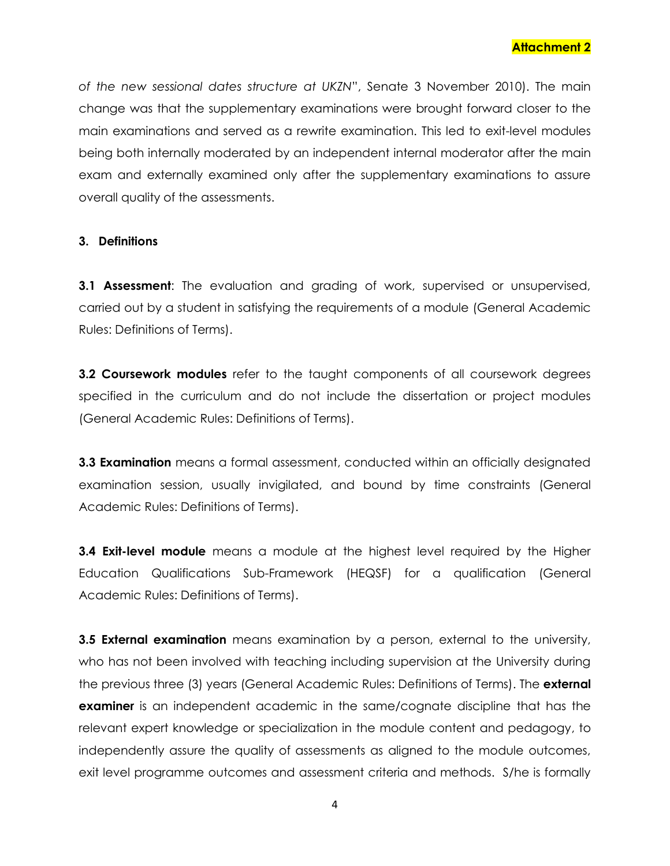*of the new sessional dates structure at UKZN*", Senate 3 November 2010). The main change was that the supplementary examinations were brought forward closer to the main examinations and served as a rewrite examination. This led to exit-level modules being both internally moderated by an independent internal moderator after the main exam and externally examined only after the supplementary examinations to assure overall quality of the assessments.

## **3. Definitions**

**3.1 Assessment:** The evaluation and grading of work, supervised or unsupervised, carried out by a student in satisfying the requirements of a module (General Academic Rules: Definitions of Terms).

**3.2 Coursework modules** refer to the taught components of all coursework degrees specified in the curriculum and do not include the dissertation or project modules (General Academic Rules: Definitions of Terms).

**3.3 Examination** means a formal assessment, conducted within an officially designated examination session, usually invigilated, and bound by time constraints (General Academic Rules: Definitions of Terms).

**3.4 Exit-level module** means a module at the highest level required by the Higher Education Qualifications Sub-Framework (HEQSF) for a qualification (General Academic Rules: Definitions of Terms).

**3.5 External examination** means examination by a person, external to the university, who has not been involved with teaching including supervision at the University during the previous three (3) years (General Academic Rules: Definitions of Terms). The **external examiner** is an independent academic in the same/cognate discipline that has the relevant expert knowledge or specialization in the module content and pedagogy, to independently assure the quality of assessments as aligned to the module outcomes, exit level programme outcomes and assessment criteria and methods. S/he is formally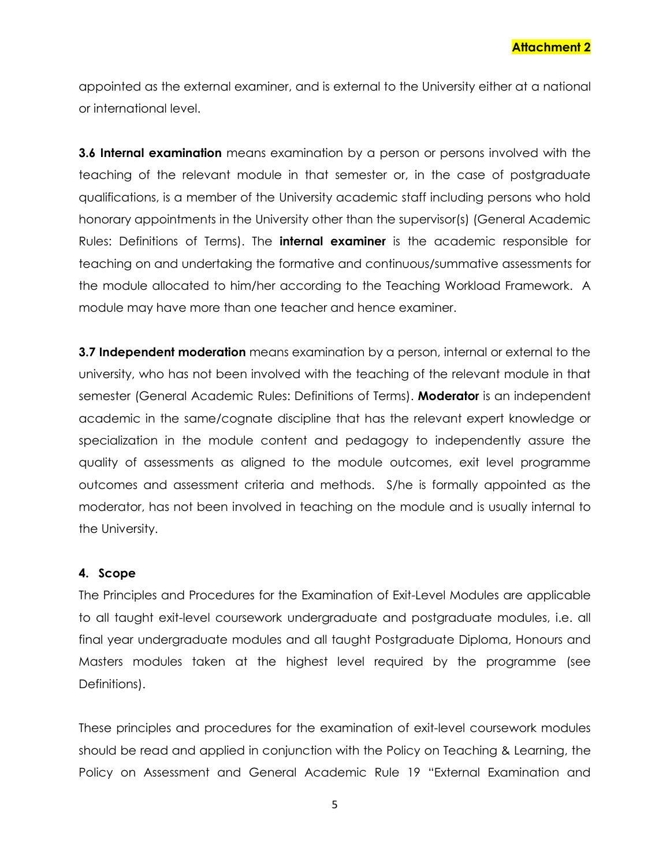**Attachment 2**

appointed as the external examiner, and is external to the University either at a national or international level.

**3.6 Internal examination** means examination by a person or persons involved with the teaching of the relevant module in that semester or, in the case of postgraduate qualifications, is a member of the University academic staff including persons who hold honorary appointments in the University other than the supervisor(s) (General Academic Rules: Definitions of Terms). The **internal examiner** is the academic responsible for teaching on and undertaking the formative and continuous/summative assessments for the module allocated to him/her according to the Teaching Workload Framework. A module may have more than one teacher and hence examiner.

**3.7 Independent moderation** means examination by a person, internal or external to the university, who has not been involved with the teaching of the relevant module in that semester (General Academic Rules: Definitions of Terms). **Moderator** is an independent academic in the same/cognate discipline that has the relevant expert knowledge or specialization in the module content and pedagogy to independently assure the quality of assessments as aligned to the module outcomes, exit level programme outcomes and assessment criteria and methods. S/he is formally appointed as the moderator, has not been involved in teaching on the module and is usually internal to the University.

#### **4. Scope**

The Principles and Procedures for the Examination of Exit-Level Modules are applicable to all taught exit-level coursework undergraduate and postgraduate modules, i.e. all final year undergraduate modules and all taught Postgraduate Diploma, Honours and Masters modules taken at the highest level required by the programme (see Definitions).

These principles and procedures for the examination of exit-level coursework modules should be read and applied in conjunction with the Policy on Teaching & Learning, the Policy on Assessment and General Academic Rule 19 "External Examination and

5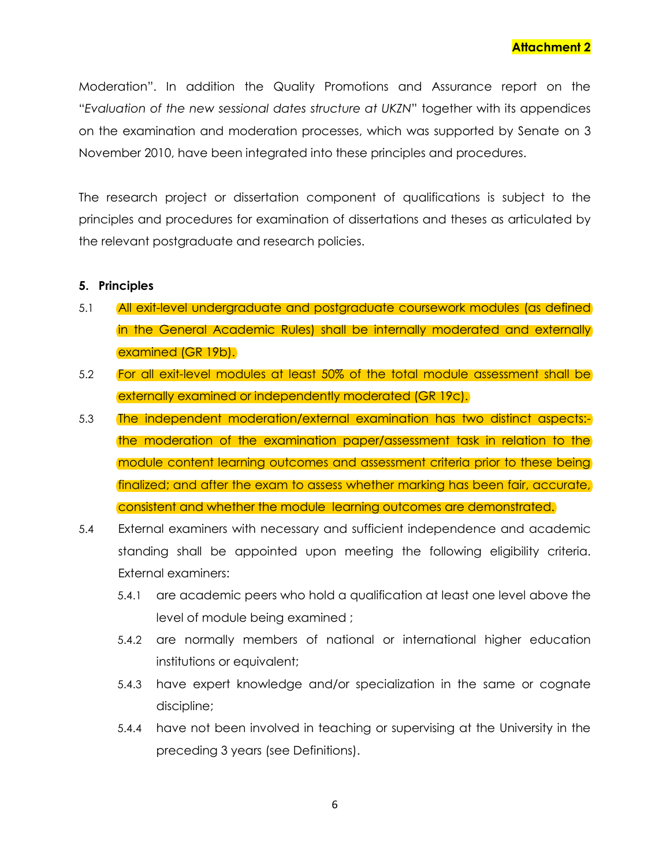Moderation". In addition the Quality Promotions and Assurance report on the "*Evaluation of the new sessional dates structure at UKZN*" together with its appendices on the examination and moderation processes, which was supported by Senate on 3 November 2010, have been integrated into these principles and procedures.

The research project or dissertation component of qualifications is subject to the principles and procedures for examination of dissertations and theses as articulated by the relevant postgraduate and research policies.

#### **5. Principles**

- 5.1 All exit-level undergraduate and postgraduate coursework modules (as defined in the General Academic Rules) shall be internally moderated and externally examined (GR 19b).
- 5.2 For all exit-level modules at least 50% of the total module assessment shall be externally examined or independently moderated (GR 19c).
- 5.3 The independent moderation/external examination has two distinct aspects: the moderation of the examination paper/assessment task in relation to the module content learning outcomes and assessment criteria prior to these being finalized; and after the exam to assess whether marking has been fair, accurate, consistent and whether the module learning outcomes are demonstrated.
- 5.4 External examiners with necessary and sufficient independence and academic standing shall be appointed upon meeting the following eligibility criteria. External examiners:
	- 5.4.1 are academic peers who hold a qualification at least one level above the level of module being examined ;
	- 5.4.2 are normally members of national or international higher education institutions or equivalent;
	- 5.4.3 have expert knowledge and/or specialization in the same or cognate discipline;
	- 5.4.4 have not been involved in teaching or supervising at the University in the preceding 3 years (see Definitions).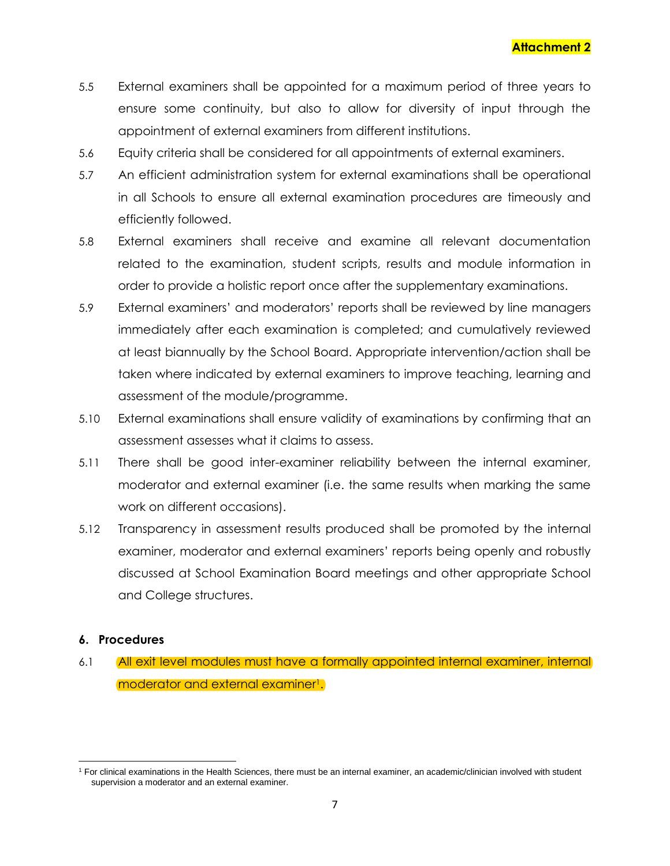- 5.5 External examiners shall be appointed for a maximum period of three years to ensure some continuity, but also to allow for diversity of input through the appointment of external examiners from different institutions.
- 5.6 Equity criteria shall be considered for all appointments of external examiners.
- 5.7 An efficient administration system for external examinations shall be operational in all Schools to ensure all external examination procedures are timeously and efficiently followed.
- 5.8 External examiners shall receive and examine all relevant documentation related to the examination, student scripts, results and module information in order to provide a holistic report once after the supplementary examinations.
- 5.9 External examiners' and moderators' reports shall be reviewed by line managers immediately after each examination is completed; and cumulatively reviewed at least biannually by the School Board. Appropriate intervention/action shall be taken where indicated by external examiners to improve teaching, learning and assessment of the module/programme.
- 5.10 External examinations shall ensure validity of examinations by confirming that an assessment assesses what it claims to assess.
- 5.11 There shall be good inter-examiner reliability between the internal examiner, moderator and external examiner (i.e. the same results when marking the same work on different occasions).
- 5.12 Transparency in assessment results produced shall be promoted by the internal examiner, moderator and external examiners' reports being openly and robustly discussed at School Examination Board meetings and other appropriate School and College structures.

## **6. Procedures**

6.1 All exit level modules must have a formally appointed internal examiner, internal moderator and external examiner<sup>1</sup>.

l <sup>1</sup> For clinical examinations in the Health Sciences, there must be an internal examiner, an academic/clinician involved with student supervision a moderator and an external examiner.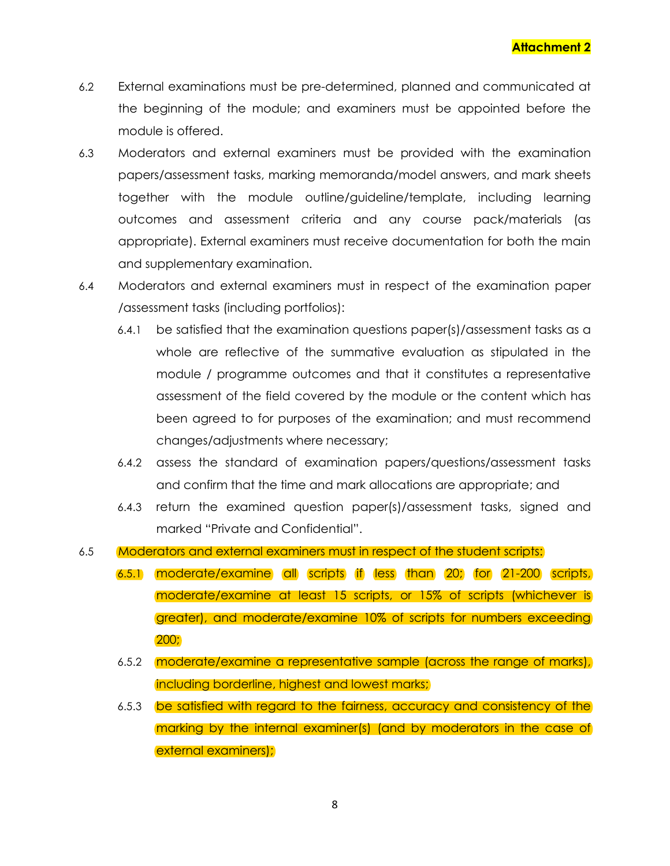- 6.2 External examinations must be pre-determined, planned and communicated at the beginning of the module; and examiners must be appointed before the module is offered.
- 6.3 Moderators and external examiners must be provided with the examination papers/assessment tasks, marking memoranda/model answers, and mark sheets together with the module outline/guideline/template, including learning outcomes and assessment criteria and any course pack/materials (as appropriate). External examiners must receive documentation for both the main and supplementary examination.
- 6.4 Moderators and external examiners must in respect of the examination paper /assessment tasks (including portfolios):
	- 6.4.1 be satisfied that the examination questions paper(s)/assessment tasks as a whole are reflective of the summative evaluation as stipulated in the module / programme outcomes and that it constitutes a representative assessment of the field covered by the module or the content which has been agreed to for purposes of the examination; and must recommend changes/adjustments where necessary;
	- 6.4.2 assess the standard of examination papers/questions/assessment tasks and confirm that the time and mark allocations are appropriate; and
	- 6.4.3 return the examined question paper(s)/assessment tasks, signed and marked "Private and Confidential".
- 6.5 Moderators and external examiners must in respect of the student scripts:
	- 6.5.1 moderate/examine all scripts if less than 20; for 21-200 scripts, moderate/examine at least 15 scripts, or 15% of scripts (whichever is greater), and moderate/examine 10% of scripts for numbers exceeding 200;
	- 6.5.2 moderate/examine a representative sample (across the range of marks), including borderline, highest and lowest marks;
	- 6.5.3 be satisfied with regard to the fairness, accuracy and consistency of the marking by the internal examiner(s) (and by moderators in the case of external examiners);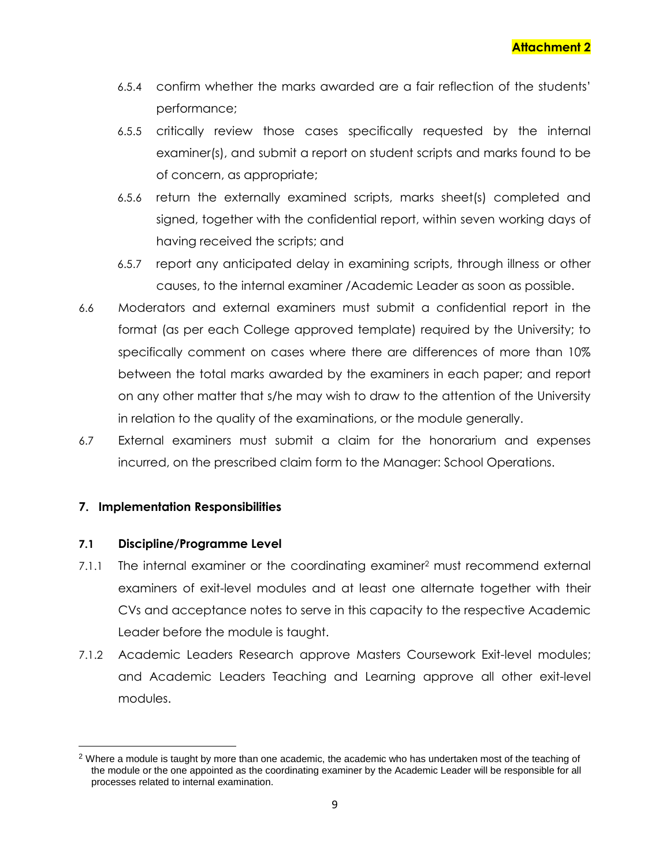- 6.5.4 confirm whether the marks awarded are a fair reflection of the students' performance;
- 6.5.5 critically review those cases specifically requested by the internal examiner(s), and submit a report on student scripts and marks found to be of concern, as appropriate;
- 6.5.6 return the externally examined scripts, marks sheet(s) completed and signed, together with the confidential report, within seven working days of having received the scripts; and
- 6.5.7 report any anticipated delay in examining scripts, through illness or other causes, to the internal examiner /Academic Leader as soon as possible.
- 6.6 Moderators and external examiners must submit a confidential report in the format (as per each College approved template) required by the University; to specifically comment on cases where there are differences of more than 10% between the total marks awarded by the examiners in each paper; and report on any other matter that s/he may wish to draw to the attention of the University in relation to the quality of the examinations, or the module generally.
- 6.7 External examiners must submit a claim for the honorarium and expenses incurred, on the prescribed claim form to the Manager: School Operations.

## **7. Implementation Responsibilities**

## **7.1 Discipline/Programme Level**

 $\overline{\phantom{a}}$ 

- 7.1.1 The internal examiner or the coordinating examiner<sup>2</sup> must recommend external examiners of exit-level modules and at least one alternate together with their CVs and acceptance notes to serve in this capacity to the respective Academic Leader before the module is taught.
- 7.1.2 Academic Leaders Research approve Masters Coursework Exit-level modules; and Academic Leaders Teaching and Learning approve all other exit-level modules.

<sup>&</sup>lt;sup>2</sup> Where a module is taught by more than one academic, the academic who has undertaken most of the teaching of the module or the one appointed as the coordinating examiner by the Academic Leader will be responsible for all processes related to internal examination.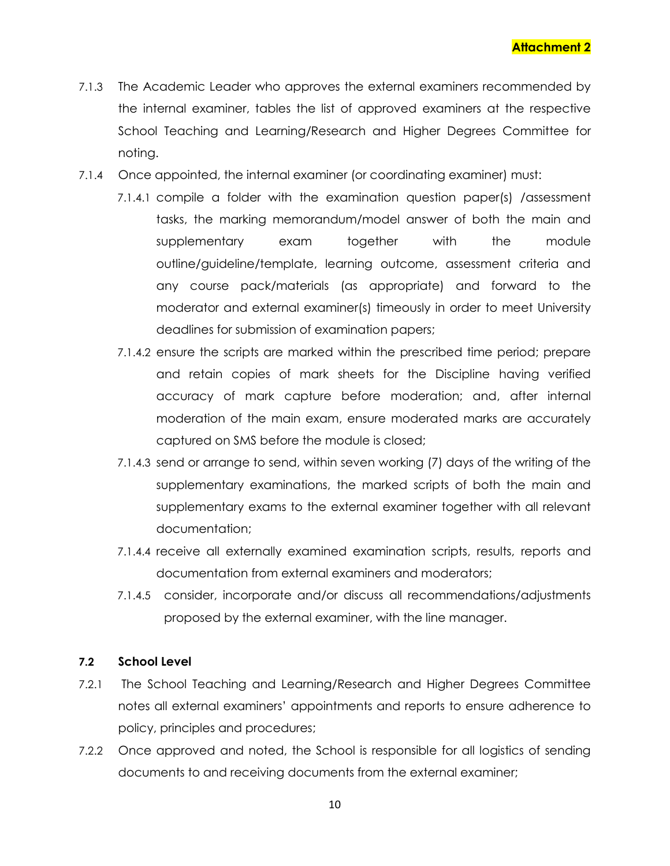- 7.1.3 The Academic Leader who approves the external examiners recommended by the internal examiner, tables the list of approved examiners at the respective School Teaching and Learning/Research and Higher Degrees Committee for noting.
- 7.1.4 Once appointed, the internal examiner (or coordinating examiner) must:
	- 7.1.4.1 compile a folder with the examination question paper(s) /assessment tasks, the marking memorandum/model answer of both the main and supplementary exam together with the module outline/guideline/template, learning outcome, assessment criteria and any course pack/materials (as appropriate) and forward to the moderator and external examiner(s) timeously in order to meet University deadlines for submission of examination papers;
		- 7.1.4.2 ensure the scripts are marked within the prescribed time period; prepare and retain copies of mark sheets for the Discipline having verified accuracy of mark capture before moderation; and, after internal moderation of the main exam, ensure moderated marks are accurately captured on SMS before the module is closed;
		- 7.1.4.3 send or arrange to send, within seven working (7) days of the writing of the supplementary examinations, the marked scripts of both the main and supplementary exams to the external examiner together with all relevant documentation;
		- 7.1.4.4 receive all externally examined examination scripts, results, reports and documentation from external examiners and moderators;
		- 7.1.4.5 consider, incorporate and/or discuss all recommendations/adjustments proposed by the external examiner, with the line manager.

#### **7.2 School Level**

- 7.2.1 The School Teaching and Learning/Research and Higher Degrees Committee notes all external examiners' appointments and reports to ensure adherence to policy, principles and procedures;
- 7.2.2 Once approved and noted, the School is responsible for all logistics of sending documents to and receiving documents from the external examiner;